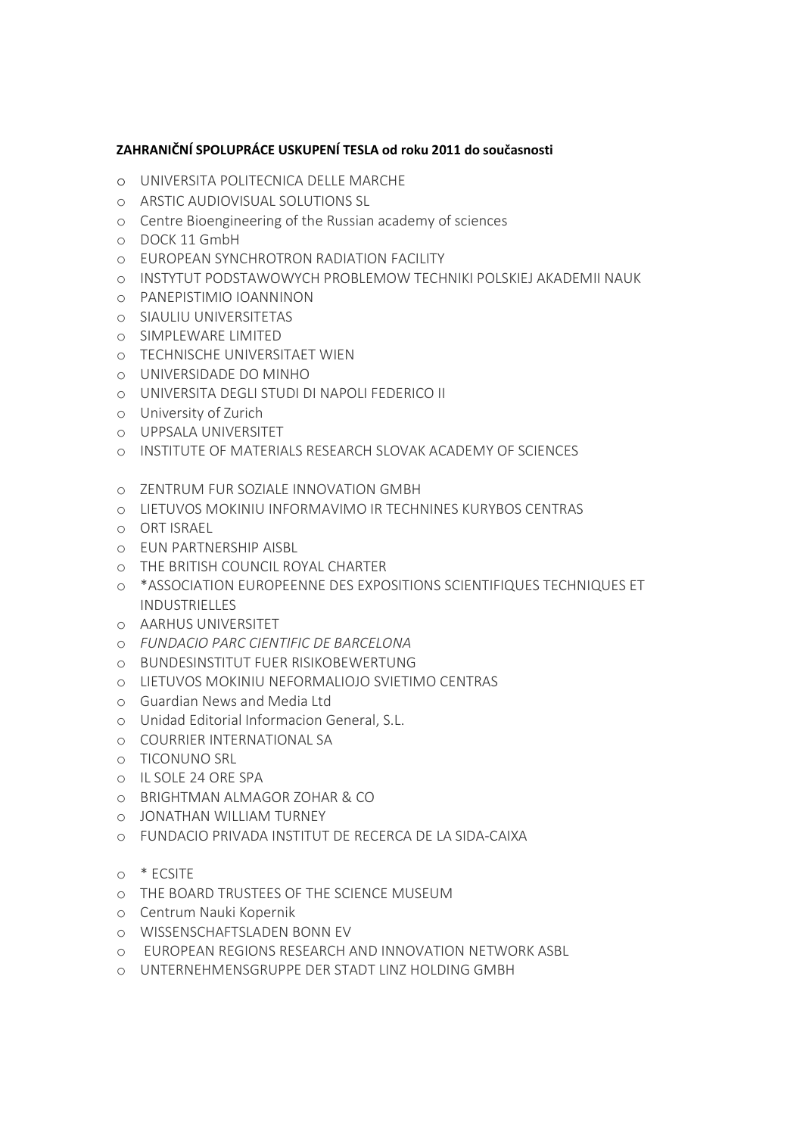## ZAHRANIČNÍ SPOLUPRÁCE USKUPENÍ TESLA od roku 2011 do současnosti

- o UNIVERSITA POLITECNICA DELLE MARCHE
- o ARSTIC AUDIOVISUAL SOLUTIONS SL
- o Centre Bioengineering of the Russian academy of sciences
- o DOCK 11 GmbH
- o EUROPEAN SYNCHROTRON RADIATION FACILITY
- o INSTYTUT PODSTAWOWYCH PROBLEMOW TECHNIKI POLSKIEJ AKADEMII NAUK
- o PANEPISTIMIO IOANNINON
- o SIAULIU UNIVERSITETAS
- o SIMPLEWARE LIMITED
- o TECHNISCHE UNIVERSITAET WIEN
- o UNIVERSIDADE DO MINHO
- o UNIVERSITA DEGLI STUDI DI NAPOLI FEDERICO II
- o University of Zurich
- o UPPSALA UNIVERSITET
- o INSTITUTE OF MATERIALS RESEARCH SLOVAK ACADEMY OF SCIENCES
- o ZENTRUM FUR SOZIALE INNOVATION GMBH
- o LIETUVOS MOKINIU INFORMAVIMO IR TECHNINES KURYBOS CENTRAS
- o ORT ISRAEL
- o EUN PARTNERSHIP AISBL
- o THE BRITISH COUNCIL ROYAL CHARTER
- o \*ASSOCIATION EUROPEENNE DES EXPOSITIONS SCIENTIFIQUES TECHNIQUES ET INDUSTRIELLES
- o AARHUS UNIVERSITET
- o FUNDACIO PARC CIENTIFIC DE BARCELONA
- o BUNDESINSTITUT FUER RISIKOBEWERTUNG
- o LIETUVOS MOKINIU NEFORMALIOJO SVIETIMO CENTRAS
- o Guardian News and Media Ltd
- o Unidad Editorial Informacion General, S.L.
- o COURRIER INTERNATIONAL SA
- o TICONUNO SRL
- o IL SOLE 24 ORE SPA
- o BRIGHTMAN ALMAGOR ZOHAR & CO
- o JONATHAN WILLIAM TURNEY
- o FUNDACIO PRIVADA INSTITUT DE RECERCA DE LA SIDA-CAIXA
- o \* ECSITE
- o THE BOARD TRUSTEES OF THE SCIENCE MUSEUM
- o Centrum Nauki Kopernik
- o WISSENSCHAFTSLADEN BONN EV
- o EUROPEAN REGIONS RESEARCH AND INNOVATION NETWORK ASBL
- o UNTERNEHMENSGRUPPE DER STADT LINZ HOLDING GMBH